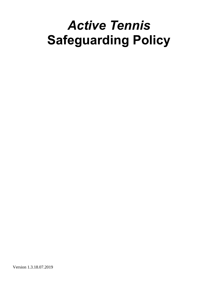# *Active Tennis* **Safeguarding Policy**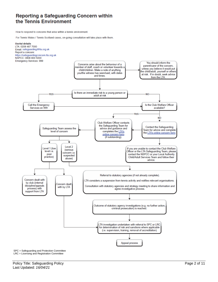### Reporting a Safeguarding Concern within the Tennis Environment

How to respond to concerns that arise within a tennis environment.

For Tennis Wales / Tennis Scotland cases, on-going consultation will take place with them.



SPC = Safeguarding and Protection Committee LRC = Licensing and Registration Committee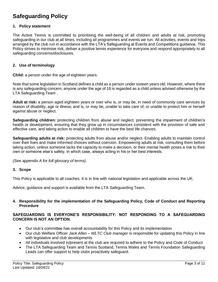## **Safeguarding Policy**

#### **1. Policy statement**

The Active Tennis is committed to prioritising the well-being of all children and adults at risk, promoting safeguarding in our club at all times, including all programmes and events we run. All activities, events and trips arranged by the club run in accordance with the LTA's Safeguarding at Events and Competitions guidance. This Policy strives to minimise risk, deliver a positive tennis experience for everyone and respond appropriately to all safeguarding concerns/disclosures.

#### **2. Use of terminology**

**Child:** a person under the age of eighteen years.

Note that some legislation in Scotland defines a child as a person under sixteen years old. However, where there is any safeguarding concern, anyone under the age of 18 is regarded as a child unless advised otherwise by the LTA Safeguarding Team .

**Adult at risk:** a person aged eighteen years or over who is, or may be, in need of community care services by reason of disability, age or illness; and is, or may be, unable to take care of, or unable to protect him or herself against abuse or neglect.

**Safeguarding children:** protecting children from abuse and neglect, preventing the impairment of children's health or development, ensuring that they grow up in circumstances consistent with the provision of safe and effective care, and taking action to enable all children to have the best life chances.

**Safeguarding adults at risk:** protecting adults from abuse and/or neglect. Enabling adults to maintain control over their lives and make informed choices without coercion. Empowering adults at risk, consulting them before taking action, unless someone lacks the capacity to make a decision, or their mental health poses a risk to their own or someone else's safety, in which case, always acting in his or her best interests.

*(See appendix A for full glossary of terms)*.

#### **3. Scope**

This Policy is applicable to all coaches. It is in line with national legislation and applicable across the UK.

Advice, guidance and support is available from the LTA Safeguarding Team.

#### **4. Responsibility for the implementation of the Safeguarding Policy, Code of Conduct and Reporting Procedure**

#### **SAFEGUARDING IS EVERYONE'S RESPONSIBILITY: NOT RESPONDING TO A SAFEGUARDING CONCERN IS NOT AN OPTION.**

- Our club's committee has overall accountability for this Policy and its implementation
- Our club Welfare Officer *Jack Allen – WLTC Club manager* is responsible for updating this Policy in line with legislative and club developments
- All individuals involved in/present at the club are required to adhere to the Policy and Code of Conduct
- The LTA Safeguarding Team and Tennis Scotland, Tennis Wales and Tennis Foundation Safeguarding Leads can offer support to help clubs proactively safeguard.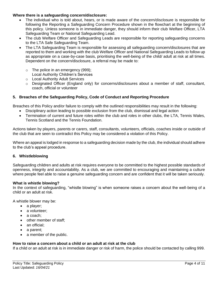#### **Where there is a safeguarding concern/disclosure:**

- The individual who is told about, hears, or is made aware of the concern/disclosure is responsible for following the Reporting a Safeguarding Concern Procedure shown in the flowchart at the beginning of this policy. Unless someone is in immediate danger, they should inform their club Welfare Officer, LTA Safeguarding Team or National Safeguarding Lead.
- The club Welfare Officer and Safeguarding Leads are responsible for reporting safeguarding concerns to the LTA Safe Safeguarding Team.
- The LTA Safeguarding Team is responsible for assessing all safeguarding concern/disclosures that are reported to them and working with the club Welfare Officer and National Safeguarding Leads to follow up as appropriate on a case-by-case basis, prioritising the well-being of the child/ adult at risk at all times. Dependent on the concern/disclosure, a referral may be made to:
	- $\circ$  The police in an emergency (999);
		- Local Authority Children's Services
	- o Local Authority Adult Services
	- $\circ$  Designated Officer (England only) for concerns/disclosures about a member of staff, consultant, coach, official or volunteer

#### **5. Breaches of the Safeguarding Policy, Code of Conduct and Reporting Procedure**

Breaches of this Policy and/or failure to comply with the outlined responsibilities may result in the following:

- Disciplinary action leading to possible exclusion from the club, dismissal and legal action
- Termination of current and future roles within the club and roles in other clubs, the LTA, Tennis Wales, Tennis Scotland and the Tennis Foundation*.*

Actions taken by players, parents or carers, staff, consultants, volunteers, officials, coaches inside or outside of the club that are seen to contradict this Policy may be considered a violation of this Policy.

Where an appeal is lodged in response to a safeguarding decision made by the club, the individual should adhere to the club's appeal procedure.

#### **6. Whistleblowing**

Safeguarding children and adults at risk requires everyone to be committed to the highest possible standards of openness, integrity and accountability. As a club, we are committed to encouraging and maintaining a culture where people feel able to raise a genuine safeguarding concern and are confident that it will be taken seriously.

#### **What is whistle blowing?**

In the context of safeguarding, "whistle blowing" is when someone raises a concern about the well-being of a child or an adult at risk.

A whistle blower may be:

- a player;
- a volunteer:
- a coach:
- other member of staff;
- an official;
- a parent;
- a member of the public.

#### **How to raise a concern about a child or an adult at risk at the club**

If a child or an adult at risk is in immediate danger or risk of harm, the police should be contacted by calling 999.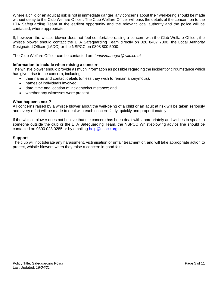Where a child or an adult at risk is not in immediate danger, any concerns about their well-being should be made without delay to the Club Welfare Officer. The Club Welfare Officer will pass the details of the concern on to the LTA Safeguarding Team at the earliest opportunity and the relevant local authority and the police will be contacted, where appropriate.

If, however, the whistle blower does not feel comfortable raising a concern with the Club Welfare Officer, the whistle blower should contact the LTA Safeguarding Team directly on 020 8487 7000, the Local Authority Designated Officer (LADO) or the NSPCC on 0808 800 5000.

The Club Welfare Officer can be contacted on: *tennismanager@wltc.co.uk*

#### **Information to include when raising a concern**

The whistle blower should provide as much information as possible regarding the incident or circumstance which has given rise to the concern, including:

- their name and contact details (unless they wish to remain anonymous);
- names of individuals involved;
- date, time and location of incident/circumstance; and
- whether any witnesses were present.

#### **What happens next?**

All concerns raised by a whistle blower about the well-being of a child or an adult at risk will be taken seriously and every effort will be made to deal with each concern fairly, quickly and proportionately.

If the whistle blower does not believe that the concern has been dealt with appropriately and wishes to speak to someone outside the club or the LTA Safeguarding Team, the NSPCC Whistleblowing advice line should be contacted on 0800 028 0285 or by emailing [help@nspcc.org.uk.](mailto:help@nspcc.org.uk)

#### **Support**

The club will not tolerate any harassment, victimisation or unfair treatment of, and will take appropriate action to protect, whistle blowers when they raise a concern in good faith.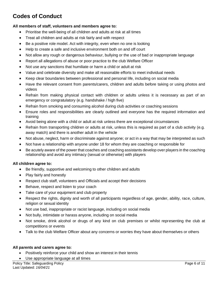# **Codes of Conduct**

#### **All members of staff, volunteers and members agree to:**

- Prioritise the well-being of all children and adults at risk at all times
- Treat all children and adults at risk fairly and with respect
- Be a positive role model. Act with integrity, even when no one is looking
- Help to create a safe and inclusive environment both on and off court
- Not allow any rough or dangerous behaviour, bullying or the use of bad or inappropriate language
- Report all allegations of abuse or poor practice to the club Welfare Officer
- Not use any sanctions that humiliate or harm a child or adult at risk
- Value and celebrate diversity and make all reasonable efforts to meet individual needs
- Keep clear boundaries between professional and personal life, including on social media
- Have the relevant consent from parents/carers, children and adults before taking or using photos and videos
- Refrain from making physical contact with children or adults unless it is necessary as part of an emergency or congratulatory (e.g. handshake / high five)
- Refrain from smoking and consuming alcohol during club activities or coaching sessions
- Ensure roles and responsibilities are clearly outlined and everyone has the required information and training
- Avoid being alone with a child or adult at risk unless there are exceptional circumstances
- Refrain from transporting children or adults at risk, unless this is required as part of a club activity (e.g. away match) and there is another adult in the vehicle
- Not abuse, neglect, harm or discriminate against anyone; or act in a way that may be interpreted as such
- Not have a relationship with anyone under 18 for whom they are coaching or responsible for
- Be acutely aware of the power that coaches and coaching assistants develop over players in the coaching relationship and avoid any intimacy (sexual or otherwise) with players

#### **All children agree to:**

- Be friendly, supportive and welcoming to other children and adults
- Play fairly and honestly
- Respect club staff, volunteers and Officials and accept their decisions
- Behave, respect and listen to your coach
- Take care of your equipment and club property
- Respect the rights, dignity and worth of all participants regardless of age, gender, ability, race, culture, religion or sexual identity
- Not use bad, inappropriate or racist language, including on social media
- Not bully, intimidate or harass anyone, including on social media
- Not smoke, drink alcohol or drugs of any kind on club premises or whilst representing the club at competitions or events
- Talk to the club Welfare Officer about any concerns or worries they have about themselves or others

#### **All parents and carers agree to:**

- Positively reinforce your child and show an interest in their tennis
- Use appropriate language at all times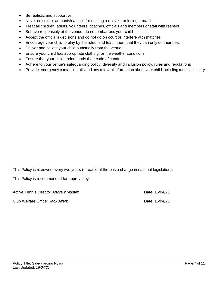- Be realistic and supportive
- Never ridicule or admonish a child for making a mistake or losing a match
- Treat all children, adults, volunteers, coaches, officials and members of staff with respect
- Behave responsibly at the venue; do not embarrass your child
- Accept the official's decisions and do not go on court or interfere with matches
- Encourage your child to play by the rules, and teach them that they can only do their best
- Deliver and collect your child punctually from the venue
- Ensure your child has appropriate clothing for the weather conditions
- Ensure that your child understands their code of conduct
- Adhere to your venue's safeguarding policy, diversity and inclusion policy, rules and regulations
- Provide emergency contact details and any relevant information about your child including medical history

This Policy is reviewed every two years (or earlier if there is a change in national legislation).

This Policy is recommended for approval by:

Active Tennis Director *Andrew Mustill*: **Date: 16/04/21** Date: 16/04/21

Club Welfare Officer *Jack Allen*: Date: 16/04/21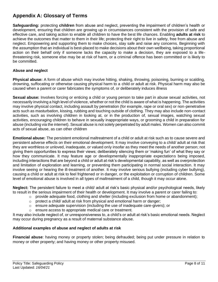## **Appendix A: Glossary of Terms**

**Safeguarding:** protecting **children** from abuse and neglect, preventing the impairment of children's health or development, ensuring that children are growing up in circumstances consistent with the provision of safe and effective care, and taking action to enable all children to have the best life chances. Enabling **adults at risk** to achieve the outcomes that matter to them in their life; protecting their right to live in safety, free from abuse and neglect. Empowering and supporting them to make choices, stay safe and raise any concerns. Beginning with the assumption that an individual is best-placed to make decisions about their own wellbeing, taking proportional action on their behalf only if someone lacks the capacity to make a decision, they are exposed to a lifethreatening risk, someone else may be at risk of harm, or a criminal offence has been committed or is likely to be committed.

#### **Abuse and neglect**

**Physical abuse:** A form of abuse which may involve hitting, shaking, throwing, poisoning, burning or scalding, drowning, suffocating or otherwise causing physical harm to a child or adult at risk. Physical harm may also be caused when a parent or carer fabricates the symptoms of, or deliberately induces illness

**Sexual abuse:** Involves forcing or enticing a child or young person to take part in abuse sexual activities, not necessarily involving a high level of violence, whether or not the child is aware of what is happening. The activities may involve physical contact, including assault by penetration (for example, rape or oral sex) or non-penetrative acts such as masturbation, kissing, rubbing and touching outside of clothing. They may also include non-contact activities, such as involving children in looking at, or in the production of, sexual images, watching sexual activities, encouraging children to behave in sexually inappropriate ways, or grooming a child in preparation for abuse (including via the internet). Sexual abuse is not solely perpetrated by adult males. Women can also commit acts of sexual abuse, as can other children

**Emotional abuse:** The persistent emotional maltreatment of a child or adult at risk such as to cause severe and persistent adverse effects on their emotional development. It may involve conveying to a child/ adult at risk that they are worthless or unloved, inadequate, or valued only insofar as they meet the needs of another person; not giving them opportunities to express their views; deliberately silencing them or 'making fun' of what they say or how they communicate. It may feature age or developmentally inappropriate expectations being imposed, including interactions that are beyond a child or adult at risk's developmental capability, as well as overprotection and limitation of exploration and learning, or preventing them participating in normal social interaction. It may involve seeing or hearing the ill-treatment of another. It may involve serious bullying (including cyber bullying), causing a child or adult at risk to feel frightened or in danger, or the exploitation or corruption of children. Some level of emotional abuse is involved in all types of maltreatment of a child, though it may occur alone.

**Neglect:** The persistent failure to meet a child/ adult at risk's basic physical and/or psychological needs, likely to result in the serious impairment of their health or development. It may involve a parent or carer failing to:

- $\circ$  provide adequate food, clothing and shelter (including exclusion from home or abandonment);
- $\circ$  protect a child/ adult at risk from physical and emotional harm or danger;
- $\circ$  ensure adequate supervision (including the use of inadequate care-givers); or
- o ensure access to appropriate medical care or treatment.

It may also include neglect of, or unresponsiveness to, a child's or adult at risk's basic emotional needs. Neglect may occur during pregnancy as a result of maternal substance abuse.

#### **Additional examples of abuse and neglect of adults at risk**

**Financial abuse**: having money or property stolen; being defrauded; being put under pressure in relation to money or other property; and having money or other property misused.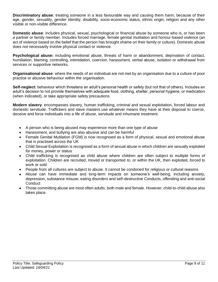**Discriminatory abuse**: treating someone in a less favourable way and causing them harm, because of their age, gender, sexuality, gender identity, disability, socio-economic status, ethnic origin, religion and any other visible or non-visible difference.

**Domestic abuse**: includes physical, sexual, psychological or financial abuse by someone who is, or has been a partner or family member. Includes forced marriage, female genital mutilation and honour-based violence (an act of violence based on the belief that the person has brought shame on their family or culture). Domestic abuse does not necessarily involve physical contact or violence.

**Psychological abuse:** including emotional abuse, threats of harm or abandonment, deprivation of contact, humiliation, blaming, controlling, intimidation, coercion, harassment, verbal abuse, isolation or withdrawal from services or supportive networks.

**Organisational abuse**: where the needs of an individual are not met by an organisation due to a culture of poor practice or abusive behaviour within the organisation.

**Self-neglect:** behaviour which threatens an adult's personal health or safety (but not that of others). Includes an adult's decision to not provide themselves with adequate food, clothing, shelter, personal hygiene, or medication (when indicated), or take appropriate safety precautions

**Modern slavery**: encompasses slavery, human trafficking, criminal and sexual exploitation, forced labour and domestic servitude. Traffickers and slave masters use whatever means they have at their disposal to coerce, deceive and force individuals into a life of abuse, servitude and inhumane treatment.

- A person who is being abused may experience more than one type of abuse
- Harassment, and bullying are also abusive and can be harmful
- Female Genital Mutilation (FGM) is now recognised as a form of physical, sexual and emotional abuse that is practised across the UK
- Child Sexual Exploitation is recognised as a form of sexual abuse in which children are sexually exploited for money, power or status
- Child trafficking is recognised as child abuse where children are often subject to multiple forms of exploitation. Children are recruited, moved or transported to, or within the UK, then exploited, forced to work or sold
- People from all cultures are subject to abuse. It cannot be condoned for religious or cultural reasons
- Abuse can have immediate and long-term impacts on someone's well-being, including anxiety, depression, substance misuse, eating disorders and self-destructive Conducts, offending and anti-social **Conduct**
- Those committing abuse are most often adults, both male and female. However, child-to-child abuse also takes place.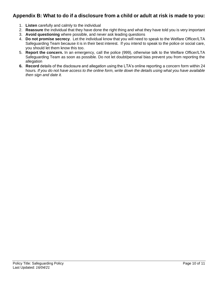## **Appendix B: What to do if a disclosure from a child or adult at risk is made to you:**

- 1. **Listen** carefully and calmly to the individual
- 2. **Reassure** the individual that they have done the right thing and what they have told you is very important
- 3. **Avoid questioning** where possible, and never ask leading questions
- 4. **Do not promise secrecy**. Let the individual know that you will need to speak to the Welfare Officer/LTA Safeguarding Team because it is in their best interest. If you intend to speak to the police or social care, you should let them know this too.
- 5. **Report the concern.** In an emergency, call the police (999), otherwise talk to the Welfare Officer/LTA Safeguarding Team as soon as possible. Do not let doubt/personal bias prevent you from reporting the allegation
- **6. Record** details of the disclosure and allegation using the LTA's online reporting a concern form within 24 hours*. If you do not have access to the online form, write down the details using what you have available then sign and date it.*